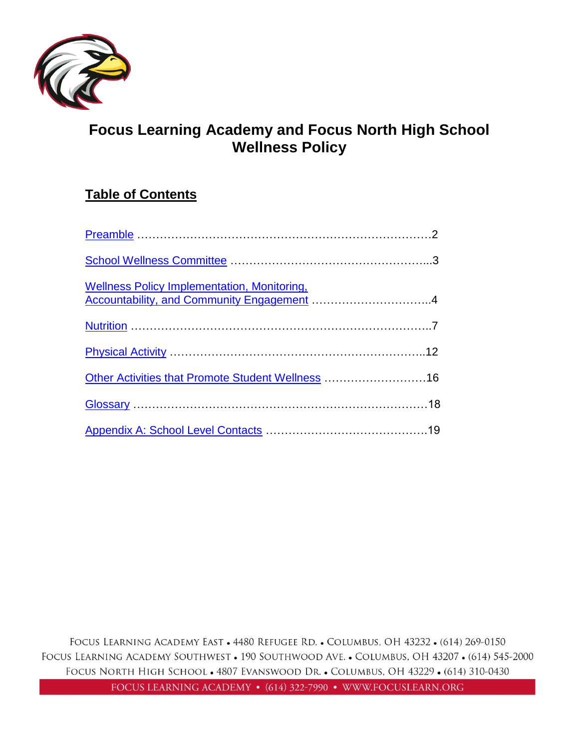

# **Focus Learning Academy and Focus North High School Wellness Policy**

# **Table of Contents**

| <b>Wellness Policy Implementation, Monitoring,</b> |  |
|----------------------------------------------------|--|
|                                                    |  |
|                                                    |  |
| Other Activities that Promote Student Wellness 16  |  |
|                                                    |  |
|                                                    |  |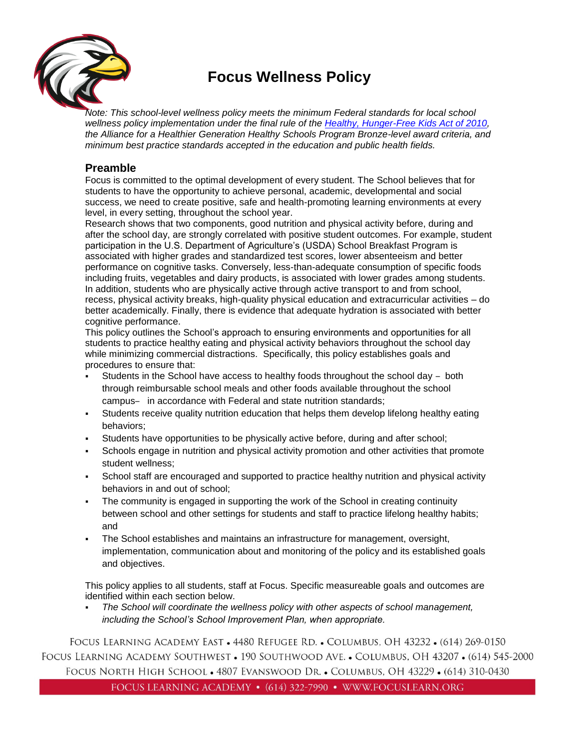

# <span id="page-1-0"></span>**Focus Wellness Policy**

*Note: This school-level wellness policy meets the minimum Federal standards for local school wellness policy implementation under the final rule of the [Healthy, Hunger-Free Kids Act of 2010,](https://www.gpo.gov/fdsys/pkg/FR-2016-07-29/pdf/2016-17230.pdf) the Alliance for a Healthier Generation Healthy Schools Program Bronze-level award criteria, and minimum best practice standards accepted in the education and public health fields.* 

# **Preamble**

Focus is committed to the optimal development of every student. The School believes that for students to have the opportunity to achieve personal, academic, developmental and social success, we need to create positive, safe and health-promoting learning environments at every level, in every setting, throughout the school year.

Research shows that two components, good nutrition and physical activity before, during and after the school day, are strongly correlated with positive student outcomes. For example, student participation in the U.S. Department of Agriculture's (USDA) School Breakfast Program is associated with higher grades and standardized test scores, lower absenteeism and better performance on cognitive tasks. Conversely, less-than-adequate consumption of specific foods including fruits, vegetables and dairy products, is associated with lower grades among students. In addition, students who are physically active through active transport to and from school, recess, physical activity breaks, high-quality physical education and extracurricular activities – do better academically. Finally, there is evidence that adequate hydration is associated with better cognitive performance.

This policy outlines the School's approach to ensuring environments and opportunities for all students to practice healthy eating and physical activity behaviors throughout the school day while minimizing commercial distractions. Specifically, this policy establishes goals and procedures to ensure that:

- Students in the School have access to healthy foods throughout the school day both through reimbursable school meals and other foods available throughout the school campus- in accordance with Federal and state nutrition standards;
- Students receive quality nutrition education that helps them develop lifelong healthy eating behaviors;
- Students have opportunities to be physically active before, during and after school;
- Schools engage in nutrition and physical activity promotion and other activities that promote student wellness;
- School staff are encouraged and supported to practice healthy nutrition and physical activity behaviors in and out of school;
- The community is engaged in supporting the work of the School in creating continuity between school and other settings for students and staff to practice lifelong healthy habits; and
- The School establishes and maintains an infrastructure for management, oversight, implementation, communication about and monitoring of the policy and its established goals and objectives.

This policy applies to all students, staff at Focus. Specific measureable goals and outcomes are identified within each section below.

The School will coordinate the wellness policy with other aspects of school management, *including the School's School Improvement Plan, when appropriate.*

FOCUS LEARNING ACADEMY EAST • 4480 REFUGEE RD. • COLUMBUS, OH 43232 • (614) 269-0150 FOCUS LEARNING ACADEMY SOUTHWEST • 190 SOUTHWOOD AVE. • COLUMBUS, OH 43207 • (614) 545-2000 FOCUS NORTH HIGH SCHOOL • 4807 EVANSWOOD DR. • COLUMBUS, OH 43229 • (614) 310-0430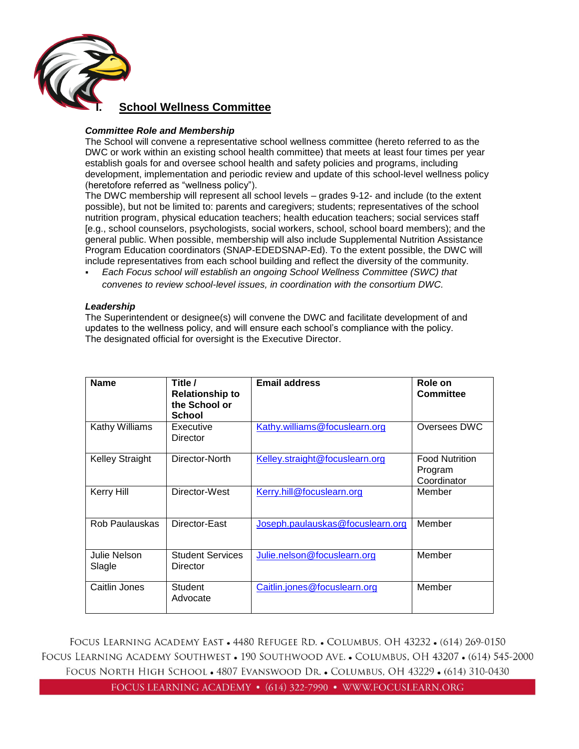

# **I. School Wellness Committee**

## <span id="page-2-0"></span>*Committee Role and Membership*

The School will convene a representative school wellness committee (hereto referred to as the DWC or work within an existing school health committee) that meets at least four times per year establish goals for and oversee school health and safety policies and programs, including development, implementation and periodic review and update of this school-level wellness policy (heretofore referred as "wellness policy").

The DWC membership will represent all school levels – grades 9-12- and include (to the extent possible), but not be limited to: parents and caregivers; students; representatives of the school nutrition program, physical education teachers; health education teachers; social services staff [e.g., school counselors, psychologists, social workers, school, school board members); and the general public. When possible, membership will also include Supplemental Nutrition Assistance Program Education coordinators (SNAP-EDEDSNAP-Ed). To the extent possible, the DWC will include representatives from each school building and reflect the diversity of the community.

▪ *Each Focus school will establish an ongoing School Wellness Committee (SWC) that convenes to review school-level issues, in coordination with the consortium DWC.*

#### *Leadership*

The Superintendent or designee(s) will convene the DWC and facilitate development of and updates to the wellness policy, and will ensure each school's compliance with the policy. The designated official for oversight is the Executive Director.

| <b>Name</b>            | Title /<br><b>Relationship to</b><br>the School or<br>School | <b>Email address</b>             | Role on<br><b>Committee</b>                     |
|------------------------|--------------------------------------------------------------|----------------------------------|-------------------------------------------------|
| Kathy Williams         | Executive<br>Director                                        | Kathy.williams@focuslearn.org    | Oversees DWC                                    |
| <b>Kelley Straight</b> | Director-North                                               | Kelley.straight@focuslearn.org   | <b>Food Nutrition</b><br>Program<br>Coordinator |
| <b>Kerry Hill</b>      | Director-West                                                | Kerry.hill@focuslearn.org        | Member                                          |
| Rob Paulauskas         | Director-East                                                | Joseph.paulauskas@focuslearn.org | Member                                          |
| Julie Nelson<br>Slagle | <b>Student Services</b><br>Director                          | Julie.nelson@focuslearn.org      | Member                                          |
| Caitlin Jones          | <b>Student</b><br>Advocate                                   | Caitlin.jones@focuslearn.org     | Member                                          |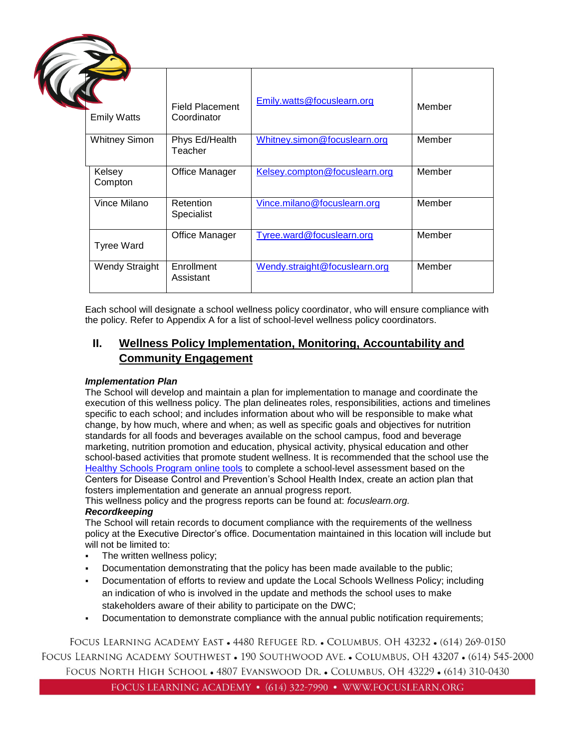| <b>Emily Watts</b>    | <b>Field Placement</b><br>Coordinator | Emily.watts@focuslearn.org    | Member |  |
|-----------------------|---------------------------------------|-------------------------------|--------|--|
| <b>Whitney Simon</b>  | Phys Ed/Health<br>Teacher             | Whitney.simon@focuslearn.org  | Member |  |
| Kelsey<br>Compton     | Office Manager                        | Kelsey.compton@focuslearn.org | Member |  |
| Vince Milano          | Retention<br>Specialist               | Vince.milano@focuslearn.org   | Member |  |
| <b>Tyree Ward</b>     | Office Manager                        | Tyree.ward@focuslearn.org     | Member |  |
| <b>Wendy Straight</b> | Enrollment<br>Assistant               | Wendy.straight@focuslearn.org | Member |  |

Each school will designate a school wellness policy coordinator, who will ensure compliance with the policy. Refer to Appendix A for a list of school-level wellness policy coordinators.

# <span id="page-3-0"></span>**II. Wellness Policy Implementation, Monitoring, Accountability and Community Engagement**

# *Implementation Plan*

The School will develop and maintain a plan for implementation to manage and coordinate the execution of this wellness policy. The plan delineates roles, responsibilities, actions and timelines specific to each school; and includes information about who will be responsible to make what change, by how much, where and when; as well as specific goals and objectives for nutrition standards for all foods and beverages available on the school campus, food and beverage marketing, nutrition promotion and education, physical activity, physical education and other school-based activities that promote student wellness. It is recommended that the school use the [Healthy Schools Program online tools](http://www.schools.healthiergeneration.org/) to complete a school-level assessment based on the Centers for Disease Control and Prevention's School Health Index, create an action plan that fosters implementation and generate an annual progress report.

This wellness policy and the progress reports can be found at: *focuslearn.org.* 

## *Recordkeeping*

The School will retain records to document compliance with the requirements of the wellness policy at the Executive Director's office. Documentation maintained in this location will include but will not be limited to:

- **•** The written wellness policy;
- Documentation demonstrating that the policy has been made available to the public;
- Documentation of efforts to review and update the Local Schools Wellness Policy; including an indication of who is involved in the update and methods the school uses to make stakeholders aware of their ability to participate on the DWC;
- Documentation to demonstrate compliance with the annual public notification requirements;

FOCUS LEARNING ACADEMY EAST • 4480 REFUGEE RD. • COLUMBUS, OH 43232 • (614) 269-0150 FOCUS LEARNING ACADEMY SOUTHWEST • 190 SOUTHWOOD AVE. • COLUMBUS, OH 43207 • (614) 545-2000 FOCUS NORTH HIGH SCHOOL . 4807 EVANSWOOD DR. . COLUMBUS, OH 43229 . (614) 310-0430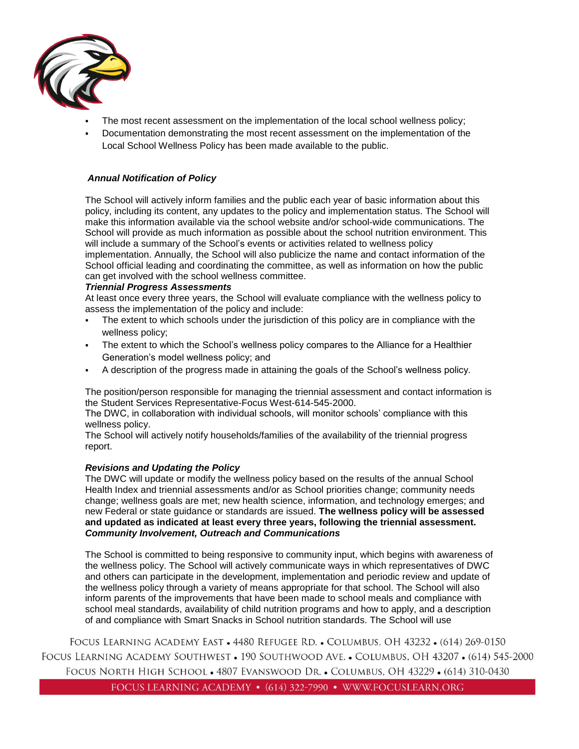

- The most recent assessment on the implementation of the local school wellness policy;
- Documentation demonstrating the most recent assessment on the implementation of the Local School Wellness Policy has been made available to the public.

## *Annual Notification of Policy*

The School will actively inform families and the public each year of basic information about this policy, including its content, any updates to the policy and implementation status. The School will make this information available via the school website and/or school-wide communications. The School will provide as much information as possible about the school nutrition environment. This will include a summary of the School's events or activities related to wellness policy implementation. Annually, the School will also publicize the name and contact information of the School official leading and coordinating the committee, as well as information on how the public can get involved with the school wellness committee.

#### *Triennial Progress Assessments*

At least once every three years, the School will evaluate compliance with the wellness policy to assess the implementation of the policy and include:

- The extent to which schools under the jurisdiction of this policy are in compliance with the wellness policy;
- The extent to which the School's wellness policy compares to the Alliance for a Healthier Generation's model wellness policy; and
- A description of the progress made in attaining the goals of the School's wellness policy.

The position/person responsible for managing the triennial assessment and contact information is the Student Services Representative-Focus West-614-545-2000.

The DWC, in collaboration with individual schools, will monitor schools' compliance with this wellness policy.

The School will actively notify households/families of the availability of the triennial progress report.

#### *Revisions and Updating the Policy*

The DWC will update or modify the wellness policy based on the results of the annual School Health Index and triennial assessments and/or as School priorities change; community needs change; wellness goals are met; new health science, information, and technology emerges; and new Federal or state guidance or standards are issued. **The wellness policy will be assessed and updated as indicated at least every three years, following the triennial assessment.** *Community Involvement, Outreach and Communications*

The School is committed to being responsive to community input, which begins with awareness of the wellness policy. The School will actively communicate ways in which representatives of DWC and others can participate in the development, implementation and periodic review and update of the wellness policy through a variety of means appropriate for that school. The School will also inform parents of the improvements that have been made to school meals and compliance with school meal standards, availability of child nutrition programs and how to apply, and a description of and compliance with Smart Snacks in School nutrition standards. The School will use

FOCUS LEARNING ACADEMY EAST • 4480 REFUGEE RD. • COLUMBUS, OH 43232 • (614) 269-0150 FOCUS LEARNING ACADEMY SOUTHWEST • 190 SOUTHWOOD AVE. • COLUMBUS, OH 43207 • (614) 545-2000 FOCUS NORTH HIGH SCHOOL • 4807 EVANSWOOD DR. • COLUMBUS, OH 43229 • (614) 310-0430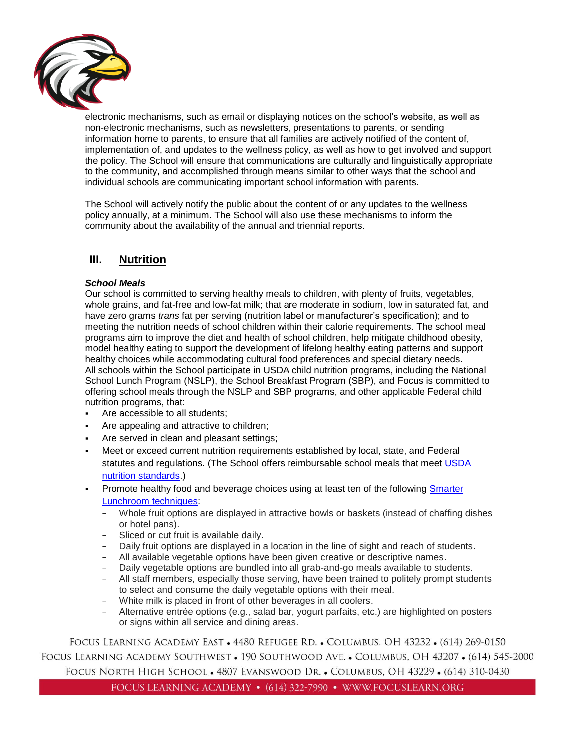

electronic mechanisms, such as email or displaying notices on the school's website, as well as non-electronic mechanisms, such as newsletters, presentations to parents, or sending information home to parents, to ensure that all families are actively notified of the content of, implementation of, and updates to the wellness policy, as well as how to get involved and support the policy. The School will ensure that communications are culturally and linguistically appropriate to the community, and accomplished through means similar to other ways that the school and individual schools are communicating important school information with parents.

The School will actively notify the public about the content of or any updates to the wellness policy annually, at a minimum. The School will also use these mechanisms to inform the community about the availability of the annual and triennial reports.

# <span id="page-5-0"></span>**III. Nutrition**

## *School Meals*

Our school is committed to serving healthy meals to children, with plenty of fruits, vegetables, whole grains, and fat-free and low-fat milk; that are moderate in sodium, low in saturated fat, and have zero grams *trans* fat per serving (nutrition label or manufacturer's specification); and to meeting the nutrition needs of school children within their calorie requirements. The school meal programs aim to improve the diet and health of school children, help mitigate childhood obesity, model healthy eating to support the development of lifelong healthy eating patterns and support healthy choices while accommodating cultural food preferences and special dietary needs. All schools within the School participate in USDA child nutrition programs, including the National School Lunch Program (NSLP), the School Breakfast Program (SBP), and Focus is committed to offering school meals through the NSLP and SBP programs, and other applicable Federal child nutrition programs, that:

- Are accessible to all students;
- **Are appealing and attractive to children;**
- Are served in clean and pleasant settings;
- Meet or exceed current nutrition requirements established by local, state, and Federal statutes and regulations. (The School offers reimbursable school meals that meet USDA [nutrition standards.](http://www.fns.usda.gov/school-meals/nutrition-standards-school-meals))
- Promote healthy food and beverage choices using at least ten of the following Smarter [Lunchroom techniques:](http://smarterlunchrooms.org/ideas)
	- − Whole fruit options are displayed in attractive bowls or baskets (instead of chaffing dishes or hotel pans).
	- − Sliced or cut fruit is available daily.
	- − Daily fruit options are displayed in a location in the line of sight and reach of students.
	- − All available vegetable options have been given creative or descriptive names.
	- − Daily vegetable options are bundled into all grab-and-go meals available to students.
	- − All staff members, especially those serving, have been trained to politely prompt students to select and consume the daily vegetable options with their meal.
	- − White milk is placed in front of other beverages in all coolers.
	- − Alternative entrée options (e.g., salad bar, yogurt parfaits, etc.) are highlighted on posters or signs within all service and dining areas.

FOCUS LEARNING ACADEMY EAST • 4480 REFUGEE RD. • COLUMBUS, OH 43232 • (614) 269-0150 FOCUS LEARNING ACADEMY SOUTHWEST • 190 SOUTHWOOD AVE. • COLUMBUS, OH 43207 • (614) 545-2000 FOCUS NORTH HIGH SCHOOL . 4807 EVANSWOOD DR. . COLUMBUS, OH 43229 . (614) 310-0430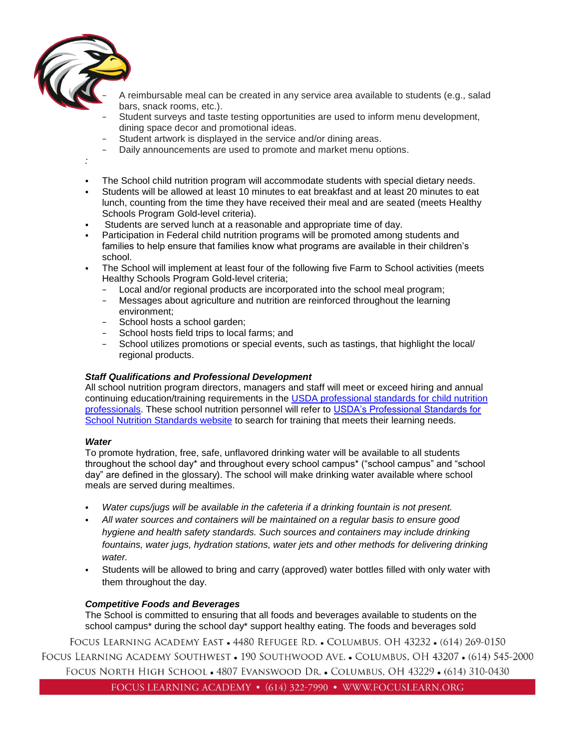

− A reimbursable meal can be created in any service area available to students (e.g., salad bars, snack rooms, etc.).

- Student surveys and taste testing opportunities are used to inform menu development, dining space decor and promotional ideas.
- Student artwork is displayed in the service and/or dining areas.
- Daily announcements are used to promote and market menu options.

*:*

- The School child nutrition program will accommodate students with special dietary needs.
- Students will be allowed at least 10 minutes to eat breakfast and at least 20 minutes to eat lunch, counting from the time they have received their meal and are seated (meets Healthy Schools Program Gold-level criteria).
- Students are served lunch at a reasonable and appropriate time of day.
- **Participation in Federal child nutrition programs will be promoted among students and** families to help ensure that families know what programs are available in their children's school.

The School will implement at least four of the following five Farm to School activities (meets Healthy Schools Program Gold-level criteria;

- − Local and/or regional products are incorporated into the school meal program;
- − Messages about agriculture and nutrition are reinforced throughout the learning environment;
- − School hosts a school garden;
- − School hosts field trips to local farms; and
- − School utilizes promotions or special events, such as tastings, that highlight the local/ regional products.

#### *Staff Qualifications and Professional Development*

All school nutrition program directors, managers and staff will meet or exceed hiring and annual continuing education/training requirements in the [USDA professional standards for child nutrition](http://www.fns.usda.gov/sites/default/files/CN2014-0130.pdf)  [professionals.](http://www.fns.usda.gov/sites/default/files/CN2014-0130.pdf) These school nutrition personnel will refer to [USDA's Professional Standards for](http://professionalstandards.nal.usda.gov/)  [School Nutrition Standards website](http://professionalstandards.nal.usda.gov/) to search for training that meets their learning needs.

#### *Water*

To promote hydration, free, safe, unflavored drinking water will be available to all students throughout the school day\* and throughout every school campus\* ("school campus" and "school day" are defined in the glossary). The school will make drinking water available where school meals are served during mealtimes.

- Water cups/jugs will be available in the cafeteria if a drinking fountain is not present.
- *All water sources and containers will be maintained on a regular basis to ensure good hygiene and health safety standards. Such sources and containers may include drinking fountains, water jugs, hydration stations, water jets and other methods for delivering drinking water.*
- Students will be allowed to bring and carry (approved) water bottles filled with only water with them throughout the day.

# *Competitive Foods and Beverages*

The School is committed to ensuring that all foods and beverages available to students on the school campus\* during the school day\* support healthy eating. The foods and beverages sold

FOCUS LEARNING ACADEMY EAST • 4480 REFUGEE RD. • COLUMBUS, OH 43232 • (614) 269-0150 FOCUS LEARNING ACADEMY SOUTHWEST • 190 SOUTHWOOD AVE. • COLUMBUS, OH 43207 • (614) 545-2000 FOCUS NORTH HIGH SCHOOL • 4807 EVANSWOOD DR. • COLUMBUS, OH 43229 • (614) 310-0430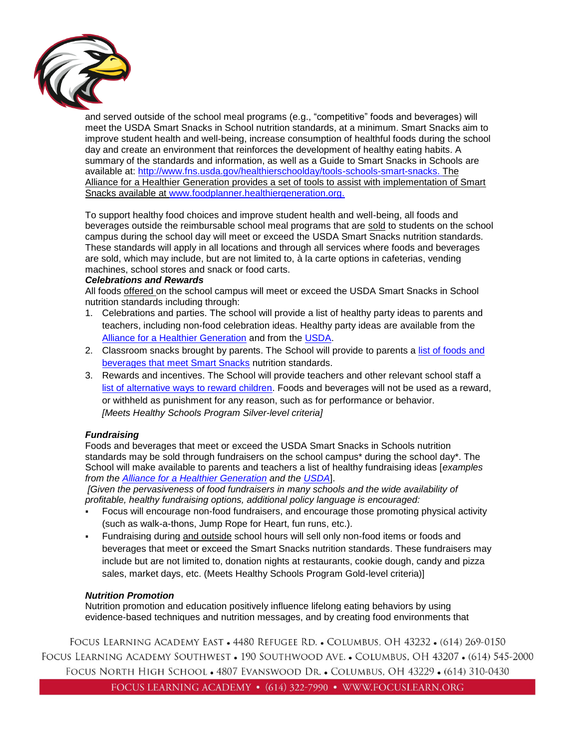

and served outside of the school meal programs (e.g., "competitive" foods and beverages) will meet the USDA Smart Snacks in School nutrition standards, at a minimum. Smart Snacks aim to improve student health and well-being, increase consumption of healthful foods during the school day and create an environment that reinforces the development of healthy eating habits. A summary of the standards and information, as well as a Guide to Smart Snacks in Schools are available at: [http://www.fns.usda.gov/healthierschoolday/tools-schools-smart-snacks.](http://www.fns.usda.gov/healthierschoolday/tools-schools-smart-snacks) The Alliance for a Healthier Generation provides a set of tools to assist with implementation of Smart Snacks available at [www.foodplanner.healthiergeneration.org.](http://www.foodplanner.healthiergeneration.org/)

To support healthy food choices and improve student health and well-being, all foods and beverages outside the reimbursable school meal programs that are sold to students on the school campus during the school day will meet or exceed the USDA Smart Snacks nutrition standards. These standards will apply in all locations and through all services where foods and beverages are sold, which may include, but are not limited to, à la carte options in cafeterias, vending machines, school stores and snack or food carts.

#### *Celebrations and Rewards*

All foods offered on the school campus will meet or exceed the USDA Smart Snacks in School nutrition standards including through:

- 1. Celebrations and parties. The school will provide a list of healthy party ideas to parents and teachers, including non-food celebration ideas. Healthy party ideas are available from the [Alliance for a Healthier Generation](https://www.healthiergeneration.org/take_action/schools/snacks_and_beverages/celebrations/) and from the [USDA.](http://healthymeals.nal.usda.gov/local-wellness-policy-resources/wellness-policy-elements/healthy-celebrations)
- 2. Classroom snacks brought by parents. The School will provide to parents a list of foods and [beverages that meet Smart Snacks](https://www.healthiergeneration.org/live_healthier/eat_healthier/alliance_product_navigator/browse_products/?product_category_id=720) nutrition standards.
- 3. Rewards and incentives. The School will provide teachers and other relevant school staff a [list of alternative ways to reward children.](https://www.healthiergeneration.org/take_action/schools/snacks_and_beverages/non-food_rewards/) Foods and beverages will not be used as a reward, or withheld as punishment for any reason, such as for performance or behavior. *[Meets Healthy Schools Program Silver-level criteria]*

#### *Fundraising*

Foods and beverages that meet or exceed the USDA Smart Snacks in Schools nutrition standards may be sold through fundraisers on the school campus\* during the school day\*. The School will make available to parents and teachers a list of healthy fundraising ideas [*examples from the [Alliance for a Healthier Generation](https://www.healthiergeneration.org/take_action/schools/snacks_and_beverages/fundraisers/) and the [USDA](http://healthymeals.nal.usda.gov/local-wellness-policy-resources/wellness-policy-elements/healthy-fundraising)*].

*[Given the pervasiveness of food fundraisers in many schools and the wide availability of profitable, healthy fundraising options, additional policy language is encouraged:*

- Focus will encourage non-food fundraisers, and encourage those promoting physical activity (such as walk-a-thons, Jump Rope for Heart, fun runs, etc.).
- Fundraising during and outside school hours will sell only non-food items or foods and beverages that meet or exceed the Smart Snacks nutrition standards. These fundraisers may include but are not limited to, donation nights at restaurants, cookie dough, candy and pizza sales, market days, etc. (Meets Healthy Schools Program Gold-level criteria)]

#### *Nutrition Promotion*

Nutrition promotion and education positively influence lifelong eating behaviors by using evidence-based techniques and nutrition messages, and by creating food environments that

FOCUS LEARNING ACADEMY EAST • 4480 REFUGEE RD. • COLUMBUS, OH 43232 • (614) 269-0150 FOCUS LEARNING ACADEMY SOUTHWEST • 190 SOUTHWOOD AVE. • COLUMBUS, OH 43207 • (614) 545-2000 FOCUS NORTH HIGH SCHOOL . 4807 EVANSWOOD DR. . COLUMBUS, OH 43229 . (614) 310-0430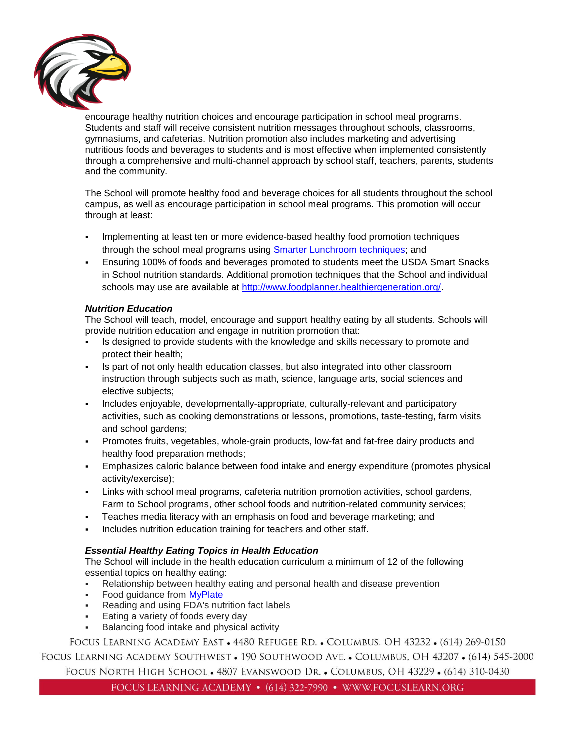

encourage healthy nutrition choices and encourage participation in school meal programs. Students and staff will receive consistent nutrition messages throughout schools, classrooms, gymnasiums, and cafeterias. Nutrition promotion also includes marketing and advertising nutritious foods and beverages to students and is most effective when implemented consistently through a comprehensive and multi-channel approach by school staff, teachers, parents, students and the community.

The School will promote healthy food and beverage choices for all students throughout the school campus, as well as encourage participation in school meal programs. This promotion will occur through at least:

- Implementing at least ten or more evidence-based healthy food promotion techniques through the school meal programs using [Smarter Lunchroom techniques;](http://smarterlunchrooms.org/ideas) and
- Ensuring 100% of foods and beverages promoted to students meet the USDA Smart Snacks in School nutrition standards. Additional promotion techniques that the School and individual schools may use are available at [http://www.foodplanner.healthiergeneration.org/.](http://www.foodplanner.healthiergeneration.org/)

## *Nutrition Education*

The School will teach, model, encourage and support healthy eating by all students. Schools will provide nutrition education and engage in nutrition promotion that:

- Is designed to provide students with the knowledge and skills necessary to promote and protect their health;
- Is part of not only health education classes, but also integrated into other classroom instruction through subjects such as math, science, language arts, social sciences and elective subjects;
- Includes enjoyable, developmentally-appropriate, culturally-relevant and participatory activities, such as cooking demonstrations or lessons, promotions, taste-testing, farm visits and school gardens;
- Promotes fruits, vegetables, whole-grain products, low-fat and fat-free dairy products and healthy food preparation methods;
- Emphasizes caloric balance between food intake and energy expenditure (promotes physical activity/exercise);
- Links with school meal programs, cafeteria nutrition promotion activities, school gardens, Farm to School programs, other school foods and nutrition-related community services;
- Teaches media literacy with an emphasis on food and beverage marketing; and
- Includes nutrition education training for teachers and other staff.

## *Essential Healthy Eating Topics in Health Education*

The School will include in the health education curriculum a minimum of 12 of the following essential topics on healthy eating:

- Relationship between healthy eating and personal health and disease prevention
- **Food quidance from [MyPlate](http://www.choosemyplate.gov/)**
- Reading and using FDA's nutrition fact labels
- Eating a variety of foods every day
- Balancing food intake and physical activity

FOCUS LEARNING ACADEMY EAST • 4480 REFUGEE RD. • COLUMBUS, OH 43232 • (614) 269-0150 FOCUS LEARNING ACADEMY SOUTHWEST • 190 SOUTHWOOD AVE. • COLUMBUS, OH 43207 • (614) 545-2000

FOCUS NORTH HIGH SCHOOL • 4807 EVANSWOOD DR. • COLUMBUS, OH 43229 • (614) 310-0430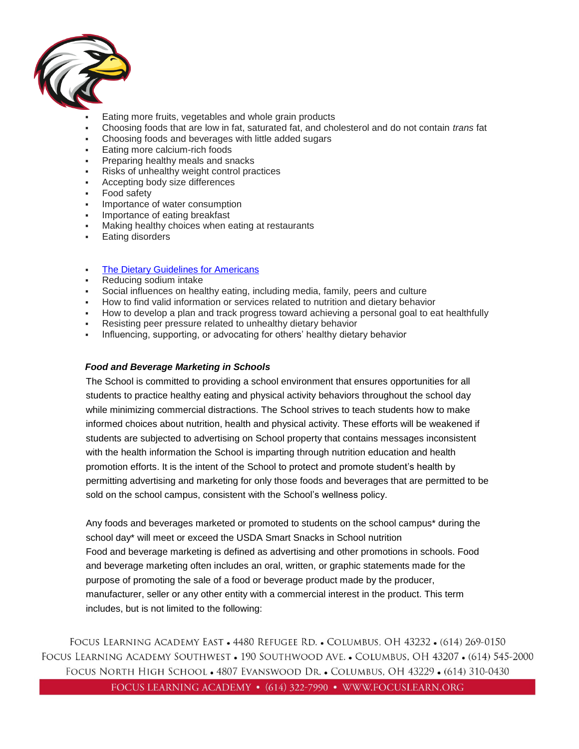

- Eating more fruits, vegetables and whole grain products
- Choosing foods that are low in fat, saturated fat, and cholesterol and do not contain *trans* fat
- Choosing foods and beverages with little added sugars
- Eating more calcium-rich foods
- Preparing healthy meals and snacks
- Risks of unhealthy weight control practices
- Accepting body size differences
- Food safety
- Importance of water consumption
- Importance of eating breakfast
- Making healthy choices when eating at restaurants
- **Eating disorders**
- **[The Dietary Guidelines for Americans](https://www.choosemyplate.gov/dietary-guidelines)**
- Reducing sodium intake
- Social influences on healthy eating, including media, family, peers and culture
- How to find valid information or services related to nutrition and dietary behavior
- How to develop a plan and track progress toward achieving a personal goal to eat healthfully
- Resisting peer pressure related to unhealthy dietary behavior
- Influencing, supporting, or advocating for others' healthy dietary behavior

# *Food and Beverage Marketing in Schools*

The School is committed to providing a school environment that ensures opportunities for all students to practice healthy eating and physical activity behaviors throughout the school day while minimizing commercial distractions. The School strives to teach students how to make informed choices about nutrition, health and physical activity. These efforts will be weakened if students are subjected to advertising on School property that contains messages inconsistent with the health information the School is imparting through nutrition education and health promotion efforts. It is the intent of the School to protect and promote student's health by permitting advertising and marketing for only those foods and beverages that are permitted to be sold on the school campus, consistent with the School's wellness policy.

Any foods and beverages marketed or promoted to students on the school campus\* during the school day\* will meet or exceed the USDA Smart Snacks in School nutrition Food and beverage marketing is defined as advertising and other promotions in schools. Food and beverage marketing often includes an oral, written, or graphic statements made for the purpose of promoting the sale of a food or beverage product made by the producer, manufacturer, seller or any other entity with a commercial interest in the product. This term includes, but is not limited to the following: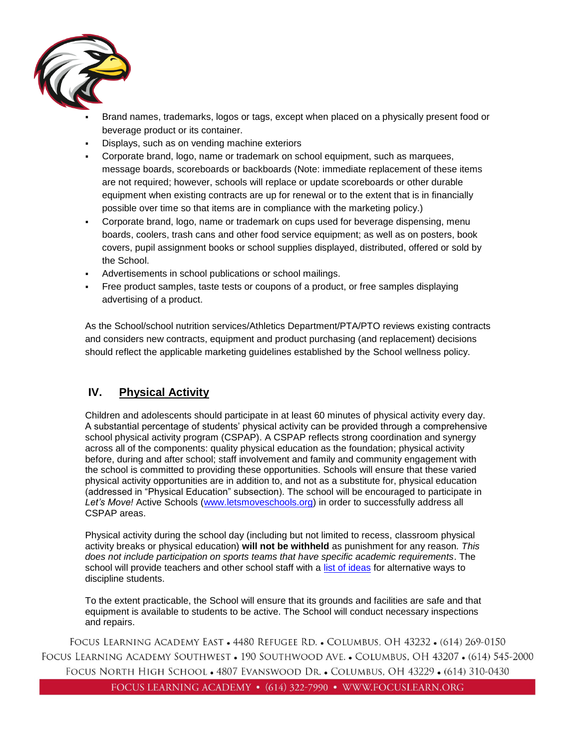

- Brand names, trademarks, logos or tags, except when placed on a physically present food or beverage product or its container.
- Displays, such as on vending machine exteriors
- Corporate brand, logo, name or trademark on school equipment, such as marquees, message boards, scoreboards or backboards (Note: immediate replacement of these items are not required; however, schools will replace or update scoreboards or other durable equipment when existing contracts are up for renewal or to the extent that is in financially possible over time so that items are in compliance with the marketing policy.)
- Corporate brand, logo, name or trademark on cups used for beverage dispensing, menu boards, coolers, trash cans and other food service equipment; as well as on posters, book covers, pupil assignment books or school supplies displayed, distributed, offered or sold by the School.
- Advertisements in school publications or school mailings.
- Free product samples, taste tests or coupons of a product, or free samples displaying advertising of a product.

As the School/school nutrition services/Athletics Department/PTA/PTO reviews existing contracts and considers new contracts, equipment and product purchasing (and replacement) decisions should reflect the applicable marketing guidelines established by the School wellness policy.

# <span id="page-10-0"></span>**IV. Physical Activity**

Children and adolescents should participate in at least 60 minutes of physical activity every day. A substantial percentage of students' physical activity can be provided through a comprehensive school physical activity program (CSPAP). A CSPAP reflects strong coordination and synergy across all of the components: quality physical education as the foundation; physical activity before, during and after school; staff involvement and family and community engagement with the school is committed to providing these opportunities. Schools will ensure that these varied physical activity opportunities are in addition to, and not as a substitute for, physical education (addressed in "Physical Education" subsection). The school will be encouraged to participate in *Let's Move!* Active Schools [\(www.letsmoveschools.org\)](http://www.letsmoveschools.org/) in order to successfully address all CSPAP areas.

Physical activity during the school day (including but not limited to recess, classroom physical activity breaks or physical education) **will not be withheld** as punishment for any reason*. This does not include participation on sports teams that have specific academic requirements*. The school will provide teachers and other school staff with a [list of ideas](http://cspinet.org/new/pdf/constructive_classroom_rewards.pdf) for alternative ways to discipline students.

To the extent practicable, the School will ensure that its grounds and facilities are safe and that equipment is available to students to be active. The School will conduct necessary inspections and repairs.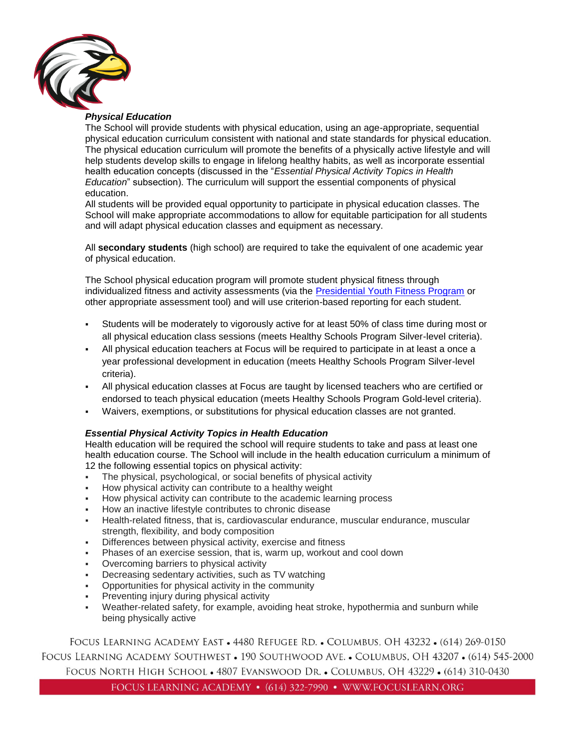

## *Physical Education*

The School will provide students with physical education, using an age-appropriate, sequential physical education curriculum consistent with national and state standards for physical education. The physical education curriculum will promote the benefits of a physically active lifestyle and will help students develop skills to engage in lifelong healthy habits, as well as incorporate essential health education concepts (discussed in the "*Essential Physical Activity Topics in Health Education*" subsection). The curriculum will support the essential components of physical education.

All students will be provided equal opportunity to participate in physical education classes. The School will make appropriate accommodations to allow for equitable participation for all students and will adapt physical education classes and equipment as necessary.

All **secondary students** (high school) are required to take the equivalent of one academic year of physical education.

The School physical education program will promote student physical fitness through individualized fitness and activity assessments (via the [Presidential Youth Fitness Program](http://www.pyfp.org/) or other appropriate assessment tool) and will use criterion-based reporting for each student.

- Students will be moderately to vigorously active for at least 50% of class time during most or all physical education class sessions (meets Healthy Schools Program Silver-level criteria).
- All physical education teachers at Focus will be required to participate in at least a once a year professional development in education (meets Healthy Schools Program Silver-level criteria).
- All physical education classes at Focus are taught by licensed teachers who are certified or endorsed to teach physical education (meets Healthy Schools Program Gold-level criteria).
- Waivers, exemptions, or substitutions for physical education classes are not granted.

#### *Essential Physical Activity Topics in Health Education*

Health education will be required the school will require students to take and pass at least one health education course. The School will include in the health education curriculum a minimum of 12 the following essential topics on physical activity:

- The physical, psychological, or social benefits of physical activity
- How physical activity can contribute to a healthy weight
- How physical activity can contribute to the academic learning process
- How an inactive lifestyle contributes to chronic disease
- Health-related fitness, that is, cardiovascular endurance, muscular endurance, muscular strength, flexibility, and body composition
- Differences between physical activity, exercise and fitness
- Phases of an exercise session, that is, warm up, workout and cool down
- Overcoming barriers to physical activity
- Decreasing sedentary activities, such as TV watching
- Opportunities for physical activity in the community
- Preventing injury during physical activity
- Weather-related safety, for example, avoiding heat stroke, hypothermia and sunburn while being physically active

FOCUS LEARNING ACADEMY EAST • 4480 REFUGEE RD. • COLUMBUS, OH 43232 • (614) 269-0150 FOCUS LEARNING ACADEMY SOUTHWEST • 190 SOUTHWOOD AVE. • COLUMBUS, OH 43207 • (614) 545-2000 FOCUS NORTH HIGH SCHOOL • 4807 EVANSWOOD DR. • COLUMBUS, OH 43229 • (614) 310-0430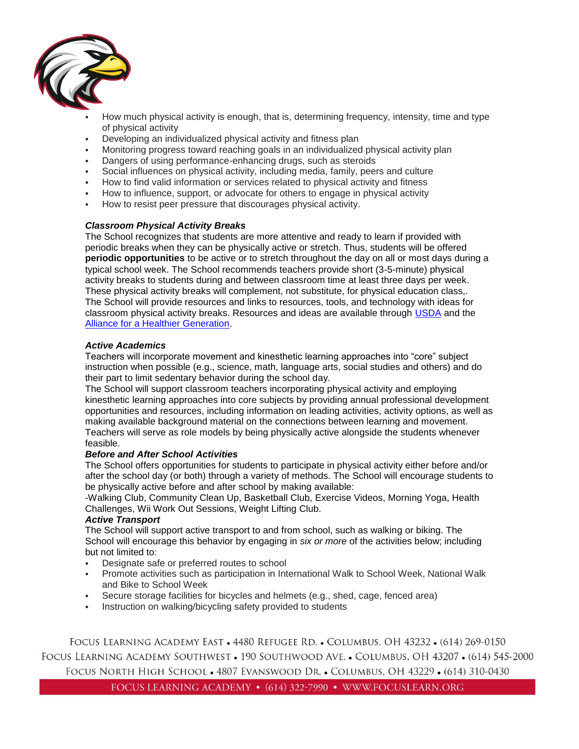

- How much physical activity is enough, that is, determining frequency, intensity, time and type of physical activity
- Developing an individualized physical activity and fitness plan
- Monitoring progress toward reaching goals in an individualized physical activity plan
- Dangers of using performance-enhancing drugs, such as steroids
- Social influences on physical activity, including media, family, peers and culture
- How to find valid information or services related to physical activity and fitness
- How to influence, support, or advocate for others to engage in physical activity
- How to resist peer pressure that discourages physical activity.

#### *Classroom Physical Activity Breaks*

The School recognizes that students are more attentive and ready to learn if provided with periodic breaks when they can be physically active or stretch. Thus, students will be offered **periodic opportunities** to be active or to stretch throughout the day on all or most days during a typical school week. The School recommends teachers provide short (3-5-minute) physical activity breaks to students during and between classroom time at least three days per week. These physical activity breaks will complement, not substitute, for physical education class,. The School will provide resources and links to resources, tools, and technology with ideas for classroom physical activity breaks. Resources and ideas are available through [USDA](http://healthymeals.nal.usda.gov/resource-library/physical-activity-school-aged-children/activities-and-tools) and the [Alliance for a Healthier Generation.](https://www.healthiergeneration.org/take_action/schools/physical_activity/physical_activities/)

#### *Active Academics*

Teachers will incorporate movement and kinesthetic learning approaches into "core" subject instruction when possible (e.g., science, math, language arts, social studies and others) and do their part to limit sedentary behavior during the school day.

The School will support classroom teachers incorporating physical activity and employing kinesthetic learning approaches into core subjects by providing annual professional development opportunities and resources, including information on leading activities, activity options, as well as making available background material on the connections between learning and movement. Teachers will serve as role models by being physically active alongside the students whenever feasible.

#### *Before and After School Activities*

The School offers opportunities for students to participate in physical activity either before and/or after the school day (or both) through a variety of methods. The School will encourage students to be physically active before and after school by making available:

-Walking Club, Community Clean Up, Basketball Club, Exercise Videos, Morning Yoga, Health Challenges, Wii Work Out Sessions, Weight Lifting Club.

#### *Active Transport*

The School will support active transport to and from school, such as walking or biking. The School will encourage this behavior by engaging in *six or more* of the activities below; including but not limited to:

- Designate safe or preferred routes to school
- Promote activities such as participation in International Walk to School Week, National Walk and Bike to School Week
- Secure storage facilities for bicycles and helmets (e.g., shed, cage, fenced area)
- Instruction on walking/bicycling safety provided to students

FOCUS LEARNING ACADEMY EAST • 4480 REFUGEE RD. • COLUMBUS, OH 43232 • (614) 269-0150 FOCUS LEARNING ACADEMY SOUTHWEST • 190 SOUTHWOOD AVE. • COLUMBUS, OH 43207 • (614) 545-2000 FOCUS NORTH HIGH SCHOOL • 4807 EVANSWOOD DR. • COLUMBUS, OH 43229 • (614) 310-0430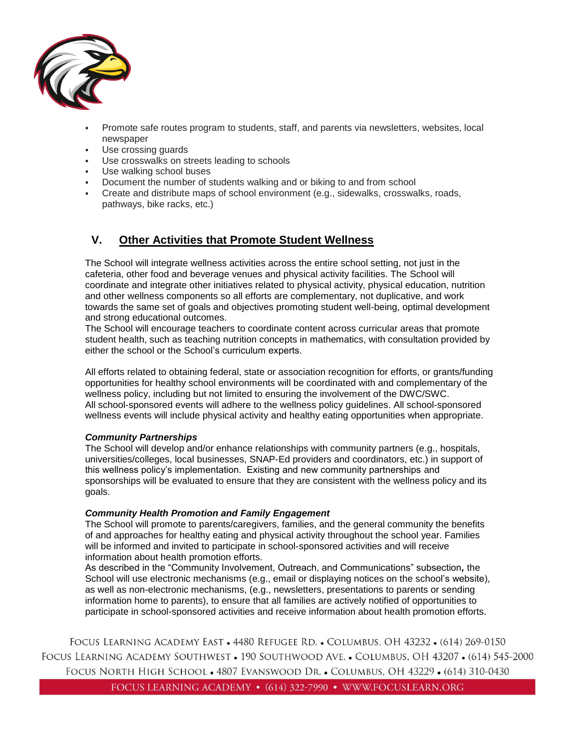

- Promote safe routes program to students, staff, and parents via newsletters, websites, local newspaper
- Use crossing guards
- Use crosswalks on streets leading to schools
- Use walking school buses
- Document the number of students walking and or biking to and from school
- Create and distribute maps of school environment (e.g., sidewalks, crosswalks, roads, pathways, bike racks, etc.)

# <span id="page-13-0"></span>**V. Other Activities that Promote Student Wellness**

The School will integrate wellness activities across the entire school setting, not just in the cafeteria, other food and beverage venues and physical activity facilities. The School will coordinate and integrate other initiatives related to physical activity, physical education, nutrition and other wellness components so all efforts are complementary, not duplicative, and work towards the same set of goals and objectives promoting student well-being, optimal development and strong educational outcomes.

The School will encourage teachers to coordinate content across curricular areas that promote student health, such as teaching nutrition concepts in mathematics, with consultation provided by either the school or the School's curriculum experts.

All efforts related to obtaining federal, state or association recognition for efforts, or grants/funding opportunities for healthy school environments will be coordinated with and complementary of the wellness policy, including but not limited to ensuring the involvement of the DWC/SWC. All school-sponsored events will adhere to the wellness policy guidelines. All school-sponsored wellness events will include physical activity and healthy eating opportunities when appropriate.

#### *Community Partnerships*

The School will develop and/or enhance relationships with community partners (e.g., hospitals, universities/colleges, local businesses, SNAP-Ed providers and coordinators, etc.) in support of this wellness policy's implementation. Existing and new community partnerships and sponsorships will be evaluated to ensure that they are consistent with the wellness policy and its goals.

#### *Community Health Promotion and Family Engagement*

The School will promote to parents/caregivers, families, and the general community the benefits of and approaches for healthy eating and physical activity throughout the school year. Families will be informed and invited to participate in school-sponsored activities and will receive information about health promotion efforts.

As described in the "Community Involvement, Outreach, and Communications" subsection*,* the School will use electronic mechanisms (e.g., email or displaying notices on the school's website), as well as non-electronic mechanisms, (e.g., newsletters, presentations to parents or sending information home to parents), to ensure that all families are actively notified of opportunities to participate in school-sponsored activities and receive information about health promotion efforts.

FOCUS LEARNING ACADEMY EAST • 4480 REFUGEE RD. • COLUMBUS, OH 43232 • (614) 269-0150 FOCUS LEARNING ACADEMY SOUTHWEST • 190 SOUTHWOOD AVE. • COLUMBUS, OH 43207 • (614) 545-2000 FOCUS NORTH HIGH SCHOOL . 4807 EVANSWOOD DR. . COLUMBUS, OH 43229 . (614) 310-0430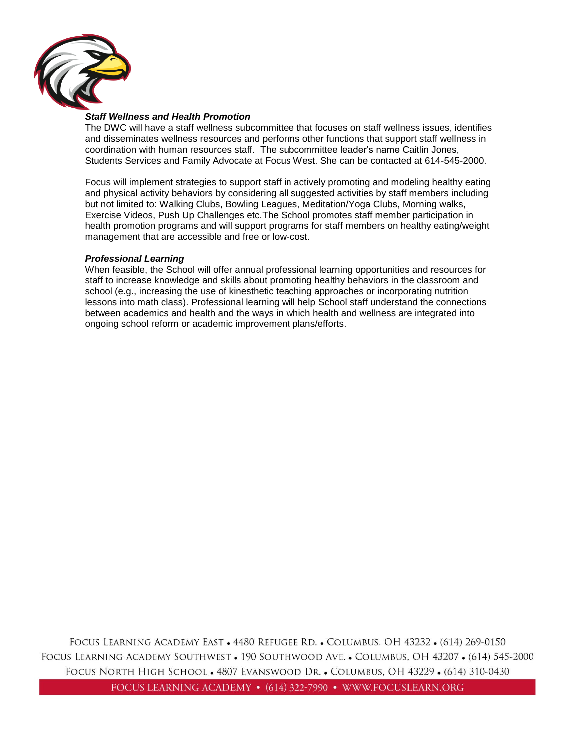

#### *Staff Wellness and Health Promotion*

The DWC will have a staff wellness subcommittee that focuses on staff wellness issues, identifies and disseminates wellness resources and performs other functions that support staff wellness in coordination with human resources staff. The subcommittee leader's name Caitlin Jones, Students Services and Family Advocate at Focus West. She can be contacted at 614-545-2000.

Focus will implement strategies to support staff in actively promoting and modeling healthy eating and physical activity behaviors by considering all suggested activities by staff members including but not limited to: Walking Clubs, Bowling Leagues, Meditation/Yoga Clubs, Morning walks, Exercise Videos, Push Up Challenges etc.The School promotes staff member participation in health promotion programs and will support programs for staff members on healthy eating/weight management that are accessible and free or low-cost.

#### *Professional Learning*

<span id="page-14-0"></span>When feasible, the School will offer annual professional learning opportunities and resources for staff to increase knowledge and skills about promoting healthy behaviors in the classroom and school (e.g., increasing the use of kinesthetic teaching approaches or incorporating nutrition lessons into math class). Professional learning will help School staff understand the connections between academics and health and the ways in which health and wellness are integrated into ongoing school reform or academic improvement plans/efforts.